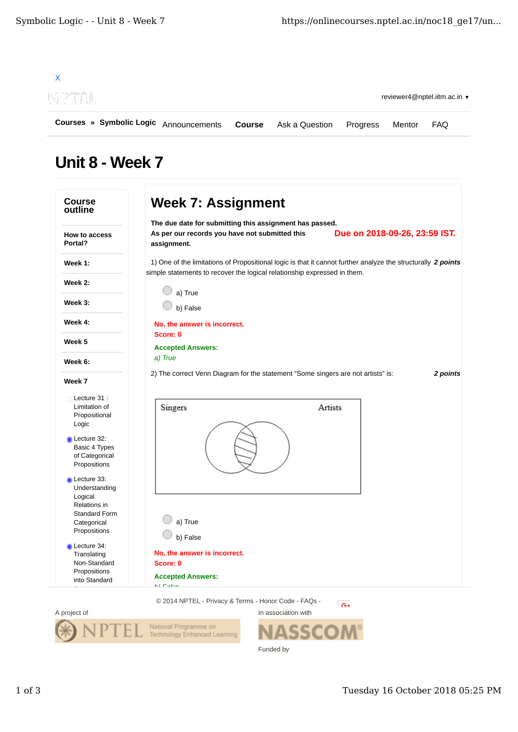

## Unit 8 - Week 7

| outline                                                                                        | The due date for submitting this assignment has passed.                                                                                                                                  |                               |
|------------------------------------------------------------------------------------------------|------------------------------------------------------------------------------------------------------------------------------------------------------------------------------------------|-------------------------------|
| <b>How to access</b><br>Portal?                                                                | As per our records you have not submitted this<br>assignment.                                                                                                                            | Due on 2018-09-26, 23:59 IST. |
| Week 1:                                                                                        | 1) One of the limitations of Propositional logic is that it cannot further analyze the structurally 2 points<br>simple statements to recover the logical relationship expressed in them. |                               |
| Week 2:                                                                                        | a) True                                                                                                                                                                                  |                               |
| Week 3:                                                                                        | b) False                                                                                                                                                                                 |                               |
| Week 4:                                                                                        | No, the answer is incorrect.                                                                                                                                                             |                               |
| Week 5                                                                                         | Score: 0<br><b>Accepted Answers:</b>                                                                                                                                                     |                               |
| Week 6:                                                                                        | a) True                                                                                                                                                                                  |                               |
| Week 7                                                                                         | 2) The correct Venn Diagram for the statement "Some singers are not artists" is:                                                                                                         | 2 points                      |
| Lecture 31:<br>Limitation of<br>Propositional<br>Logic                                         | Singers                                                                                                                                                                                  | Artists                       |
| Lecture 32:<br>Basic 4 Types<br>of Categorical<br>Propositions                                 |                                                                                                                                                                                          |                               |
| Lecture 33:<br>Understanding<br>Logical<br>Relations in<br><b>Standard Form</b><br>Categorical | a) True                                                                                                                                                                                  |                               |
| Propositions                                                                                   | b) False                                                                                                                                                                                 |                               |
| Lecture 34:<br>Translating<br>Non-Standard<br>Propositions<br>into Standard                    | No, the answer is incorrect.<br>Score: 0<br><b>Accepted Answers:</b>                                                                                                                     |                               |
|                                                                                                | $h1$ $F1$<br>© 2014 NPTEL - Privacy & Terms - Honor Code - FAQs -                                                                                                                        |                               |
|                                                                                                |                                                                                                                                                                                          | $G+$                          |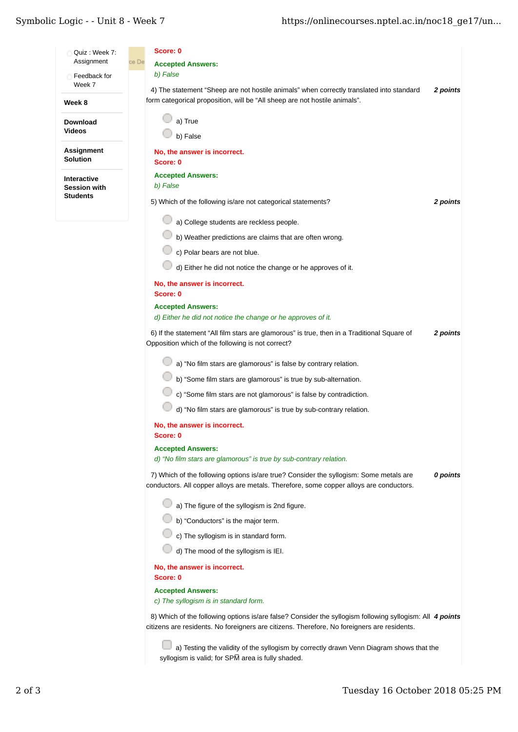## Symbolic Logic - - Unit 8 - Week 7